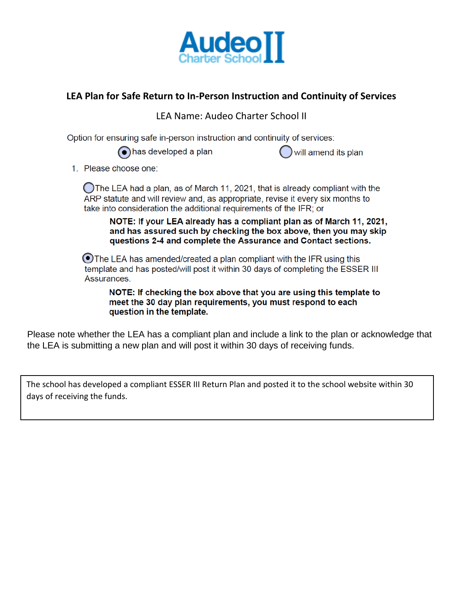

## **LEA Plan for Safe Return to In-Person Instruction and Continuity of Services**

LEA Name: Audeo Charter School II

Option for ensuring safe in-person instruction and continuity of services:

has developed a plan

will amend its plan

1. Please choose one:

The LEA had a plan, as of March 11, 2021, that is already compliant with the ARP statute and will review and, as appropriate, revise it every six months to take into consideration the additional requirements of the IFR; or

NOTE: If your LEA already has a compliant plan as of March 11, 2021. and has assured such by checking the box above, then you may skip questions 2-4 and complete the Assurance and Contact sections.

⊙The LEA has amended/created a plan compliant with the IFR using this template and has posted/will post it within 30 days of completing the ESSER III Assurances.

NOTE: If checking the box above that you are using this template to meet the 30 day plan requirements, you must respond to each question in the template.

Please note whether the LEA has a compliant plan and include a link to the plan or acknowledge that the LEA is submitting a new plan and will post it within 30 days of receiving funds.

The school has developed a compliant ESSER III Return Plan and posted it to the school website within 30 days of receiving the funds.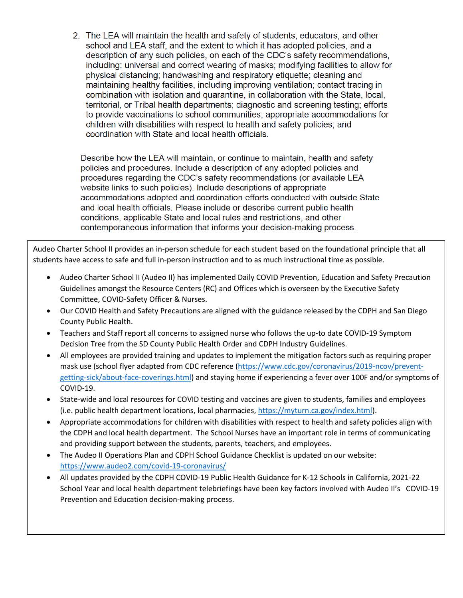2. The LEA will maintain the health and safety of students, educators, and other school and LEA staff, and the extent to which it has adopted policies, and a description of any such policies, on each of the CDC's safety recommendations. including: universal and correct wearing of masks; modifying facilities to allow for physical distancing; handwashing and respiratory etiquette; cleaning and maintaining healthy facilities, including improving ventilation; contact tracing in combination with isolation and quarantine, in collaboration with the State, local, territorial, or Tribal health departments; diagnostic and screening testing; efforts to provide vaccinations to school communities; appropriate accommodations for children with disabilities with respect to health and safety policies; and coordination with State and local health officials.

Describe how the LEA will maintain, or continue to maintain, health and safety policies and procedures. Include a description of any adopted policies and procedures regarding the CDC's safety recommendations (or available LEA website links to such policies). Include descriptions of appropriate accommodations adopted and coordination efforts conducted with outside State and local health officials. Please include or describe current public health conditions, applicable State and local rules and restrictions, and other contemporaneous information that informs your decision-making process.

Audeo Charter School II provides an in-person schedule for each student based on the foundational principle that all students have access to safe and full in-person instruction and to as much instructional time as possible.

- Audeo Charter School II (Audeo II) has implemented Daily COVID Prevention, Education and Safety Precaution Guidelines amongst the Resource Centers (RC) and Offices which is overseen by the Executive Safety Committee, COVID-Safety Officer & Nurses.
- Our COVID Health and Safety Precautions are aligned with the guidance released by the CDPH and San Diego County Public Health.
- Teachers and Staff report all concerns to assigned nurse who follows the up-to date COVID-19 Symptom Decision Tree from the SD County Public Health Order and CDPH Industry Guidelines.
- All employees are provided training and updates to implement the mitigation factors such as requiring proper mask use (school flyer adapted from CDC reference [\(https://www.cdc.gov/coronavirus/2019-ncov/prevent](https://www.cdc.gov/coronavirus/2019-ncov/prevent-getting-sick/about-face-coverings.html)[getting-sick/about-face-coverings.html\)](https://www.cdc.gov/coronavirus/2019-ncov/prevent-getting-sick/about-face-coverings.html) and staying home if experiencing a fever over 100F and/or symptoms of COVID-19.
- State-wide and local resources for COVID testing and vaccines are given to students, families and employees (i.e. public health department locations, local pharmacies, [https://myturn.ca.gov/index.html\)](https://myturn.ca.gov/index.html).
- Appropriate accommodations for children with disabilities with respect to health and safety policies align with the CDPH and local health department. The School Nurses have an important role in terms of communicating and providing support between the students, parents, teachers, and employees.
- The Audeo II Operations Plan and CDPH School Guidance Checklist is updated on our website: <https://www.audeo2.com/covid-19-coronavirus/>
- All updates provided by the CDPH COVID-19 Public Health Guidance for K-12 Schools in California, 2021-22 School Year and local health department telebriefings have been key factors involved with Audeo II's COVID-19 Prevention and Education decision-making process.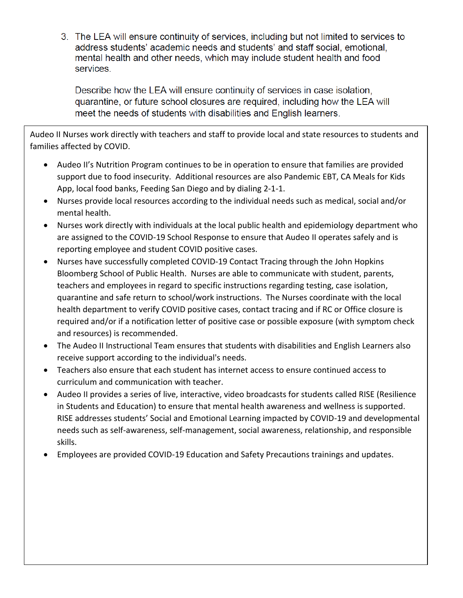3. The LEA will ensure continuity of services, including but not limited to services to address students' academic needs and students' and staff social, emotional, mental health and other needs, which may include student health and food services.

Describe how the LEA will ensure continuity of services in case isolation, quarantine, or future school closures are required, including how the LEA will meet the needs of students with disabilities and English learners.

Audeo II Nurses work directly with teachers and staff to provide local and state resources to students and families affected by COVID.

- Audeo II's Nutrition Program continues to be in operation to ensure that families are provided support due to food insecurity. Additional resources are also Pandemic EBT, CA Meals for Kids App, local food banks, Feeding San Diego and by dialing 2-1-1.
- Nurses provide local resources according to the individual needs such as medical, social and/or mental health.
- Nurses work directly with individuals at the local public health and epidemiology department who are assigned to the COVID-19 School Response to ensure that Audeo II operates safely and is reporting employee and student COVID positive cases.
- Nurses have successfully completed COVID-19 Contact Tracing through the John Hopkins Bloomberg School of Public Health. Nurses are able to communicate with student, parents, teachers and employees in regard to specific instructions regarding testing, case isolation, quarantine and safe return to school/work instructions. The Nurses coordinate with the local health department to verify COVID positive cases, contact tracing and if RC or Office closure is required and/or if a notification letter of positive case or possible exposure (with symptom check and resources) is recommended.
- The Audeo II Instructional Team ensures that students with disabilities and English Learners also receive support according to the individual's needs.
- Teachers also ensure that each student has internet access to ensure continued access to curriculum and communication with teacher.
- Audeo II provides a series of live, interactive, video broadcasts for students called RISE (Resilience in Students and Education) to ensure that mental health awareness and wellness is supported. RISE addresses students' Social and Emotional Learning impacted by COVID-19 and developmental needs such as self-awareness, self-management, social awareness, relationship, and responsible skills.
- Employees are provided COVID-19 Education and Safety Precautions trainings and updates.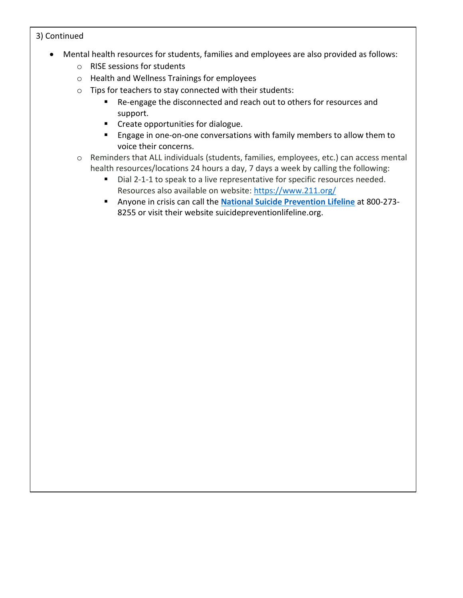## 3) Continued

- Mental health resources for students, families and employees are also provided as follows:
	- o RISE sessions for students
	- o Health and Wellness Trainings for employees
	- o Tips for teachers to stay connected with their students:
		- Re-engage the disconnected and reach out to others for resources and support.
		- **•** Create opportunities for dialogue.
		- **Engage in one-on-one conversations with family members to allow them to** voice their concerns.
	- o Reminders that ALL individuals (students, families, employees, etc.) can access mental health resources/locations 24 hours a day, 7 days a week by calling the following:
		- Dial 2-1-1 to speak to a live representative for specific resources needed. Resources also available on website: <https://www.211.org/>
		- Anyone in crisis can call the **National Suicide [Prevention](https://suicidepreventionlifeline.org/) Lifeline** at 800-273- 8255 or visit their website suicidepreventionlifeline.org.